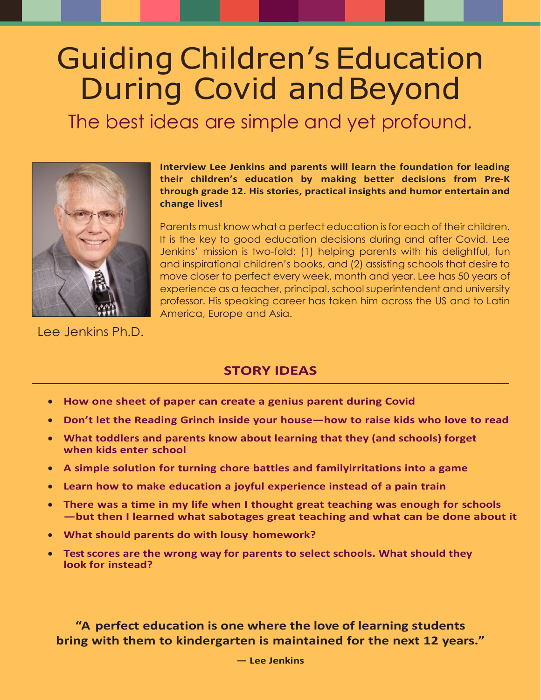## Guiding Children's Education During Covid andBeyond

The best ideas are simple and yet profound.



**Interview Lee Jenkins and parents will learn the foundation for leading their children's education by making better decisions from Pre-K through grade 12. His stories, practical insights and humor entertain and change lives!**

Parents must know what a perfect education is for each of their children. It is the key to good education decisions during and after Covid. Lee Jenkins' mission is two-fold: (1) helping parents with his delightful, fun and inspirational children's books, and (2) assisting schools that desire to move closer to perfect every week, month and year. Lee has 50 years of experience as a teacher, principal, school superintendent and university professor. His speaking career has taken him across the US and to Latin America, Europe and Asia.

Lee Jenkins Ph.D.

## **STORY IDEAS**

- **How one sheet of paper can create a genius parent during Covid**
- **Don't let the Reading Grinch inside your house—how to raise kids who love to read**
- **What toddlers and parents know about learning that they (and schools) forget when kids enter school**
- **A simple solution for turning chore battles and familyirritations into a game**
- **Learn how to make education a joyful experience instead of a pain train**
- **There was a time in my life when I thought great teaching was enough for schools —but then I learned what sabotages great teaching and what can be done about it**
- **What should parents do with lousy homework?**
- **Test scores are the wrong way for parents to select schools. What should they look for instead?**

**"A perfect education is one where the love of learning students bring with them to kindergarten is maintained for the next 12 years."**